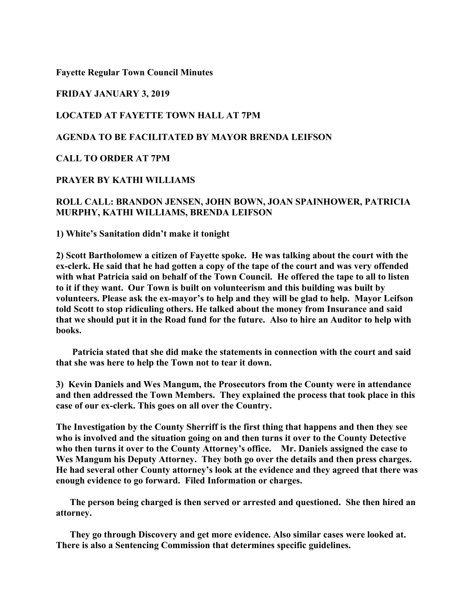**Fayette Regular Town Council Minutes**

### **FRIDAY JANUARY 3, 2019**

# **LOCATED AT FAYETTE TOWN HALL AT 7PM**

# **AGENDA TO BE FACILITATED BY MAYOR BRENDA LEIFSON**

### **CALL TO ORDER AT 7PM**

### **PRAYER BY KATHI WILLIAMS**

# **ROLL CALL: BRANDON JENSEN, JOHN BOWN, JOAN SPAINHOWER, PATRICIA MURPHY, KATHI WILLIAMS, BRENDA LEIFSON**

**1) White's Sanitation didn't make it tonight**

**2) Scott Bartholomew a citizen of Fayette spoke. He was talking about the court with the ex-clerk. He said that he had gotten a copy of the tape of the court and was very offended with what Patricia said on behalf of the Town Council. He offered the tape to all to listen to it if they want. Our Town is built on volunteerism and this building was built by volunteers. Please ask the ex-mayor's to help and they will be glad to help. Mayor Leifson told Scott to stop ridiculing others. He talked about the money from Insurance and said that we should put it in the Road fund for the future. Also to hire an Auditor to help with books.**

 **Patricia stated that she did make the statements in connection with the court and said that she was here to help the Town not to tear it down.**

**3) Kevin Daniels and Wes Mangum, the Prosecutors from the County were in attendance and then addressed the Town Members. They explained the process that took place in this case of our ex-clerk. This goes on all over the Country.**

**The Investigation by the County Sherriff is the first thing that happens and then they see who is involved and the situation going on and then turns it over to the County Detective who then turns it over to the County Attorney's office. Mr. Daniels assigned the case to Wes Mangum his Deputy Attorney. They both go over the details and then press charges. He had several other County attorney's look at the evidence and they agreed that there was enough evidence to go forward. Filed Information or charges.**

 **The person being charged is then served or arrested and questioned. She then hired an attorney.**

 **They go through Discovery and get more evidence. Also similar cases were looked at. There is also a Sentencing Commission that determines specific guidelines.**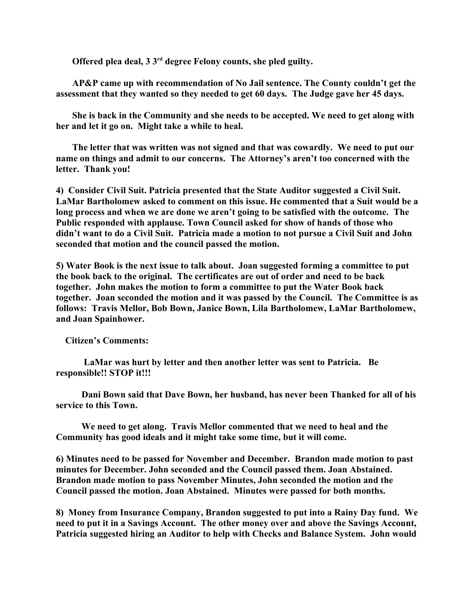**Offered plea deal, 3 3rd degree Felony counts, she pled guilty.** 

**AP&P came up with recommendation of No Jail sentence. The County couldn't get the assessment that they wanted so they needed to get 60 days. The Judge gave her 45 days.**

 **She is back in the Community and she needs to be accepted. We need to get along with her and let it go on. Might take a while to heal.** 

 **The letter that was written was not signed and that was cowardly. We need to put our name on things and admit to our concerns. The Attorney's aren't too concerned with the letter. Thank you!**

**4) Consider Civil Suit. Patricia presented that the State Auditor suggested a Civil Suit. LaMar Bartholomew asked to comment on this issue. He commented that a Suit would be a long process and when we are done we aren't going to be satisfied with the outcome. The Public responded with applause. Town Council asked for show of hands of those who didn't want to do a Civil Suit. Patricia made a motion to not pursue a Civil Suit and John seconded that motion and the council passed the motion.** 

**5) Water Book is the next issue to talk about. Joan suggested forming a committee to put the book back to the original. The certificates are out of order and need to be back together. John makes the motion to form a committee to put the Water Book back together. Joan seconded the motion and it was passed by the Council. The Committee is as follows: Travis Mellor, Bob Bown, Janice Bown, Lila Bartholomew, LaMar Bartholomew, and Joan Spainhower.**

 **Citizen's Comments:**

 **LaMar was hurt by letter and then another letter was sent to Patricia. Be responsible!! STOP it!!!**

 **Dani Bown said that Dave Bown, her husband, has never been Thanked for all of his service to this Town.**

 **We need to get along. Travis Mellor commented that we need to heal and the Community has good ideals and it might take some time, but it will come.**

**6) Minutes need to be passed for November and December. Brandon made motion to past minutes for December. John seconded and the Council passed them. Joan Abstained. Brandon made motion to pass November Minutes, John seconded the motion and the Council passed the motion. Joan Abstained. Minutes were passed for both months.**

**8) Money from Insurance Company, Brandon suggested to put into a Rainy Day fund. We need to put it in a Savings Account. The other money over and above the Savings Account, Patricia suggested hiring an Auditor to help with Checks and Balance System. John would**